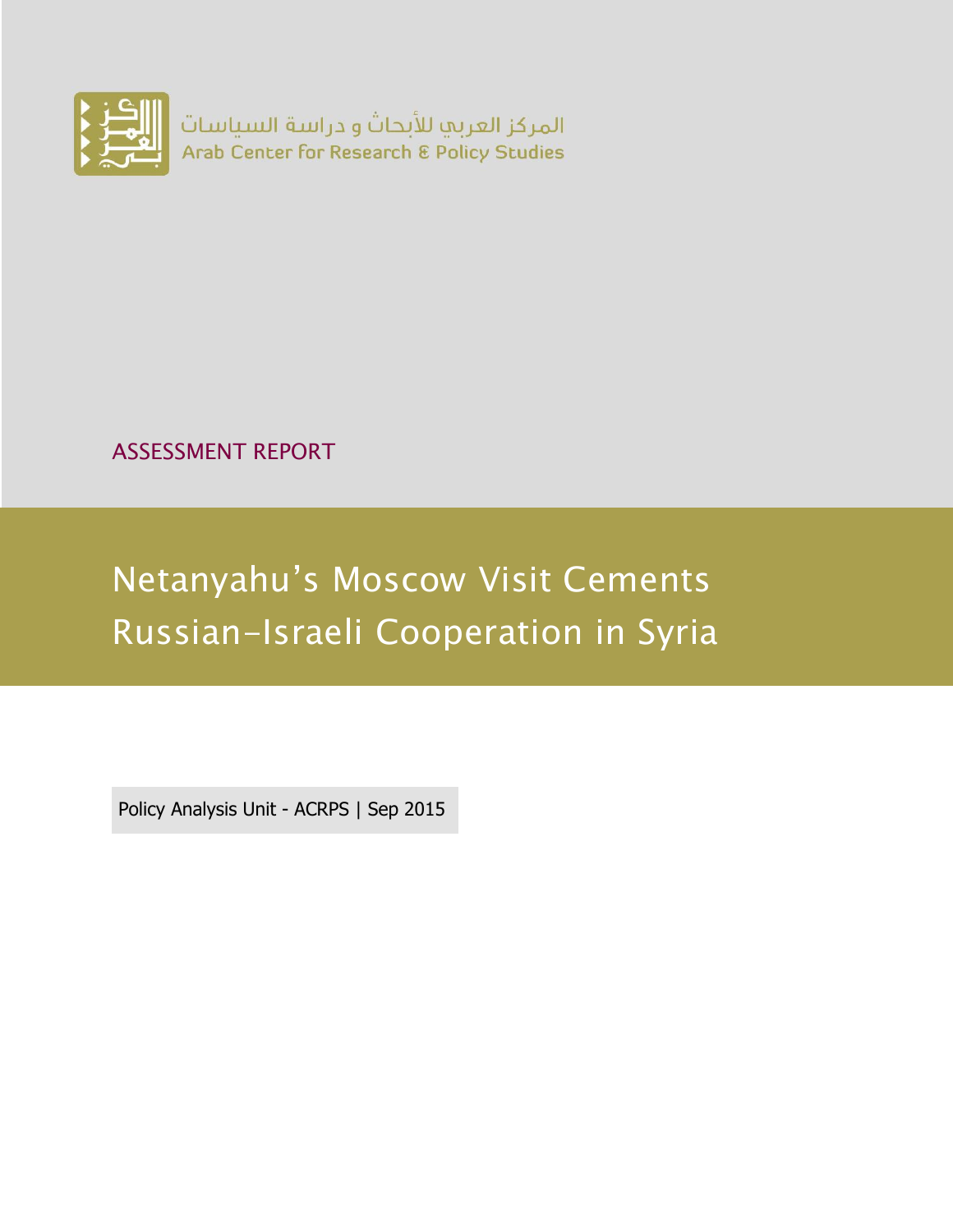

ASSESSMENT REPORT

# Netanyahu's Moscow Visit Cements Russian-Israeli Cooperation in Syria

Policy Analysis Unit - ACRPS | Sep 2015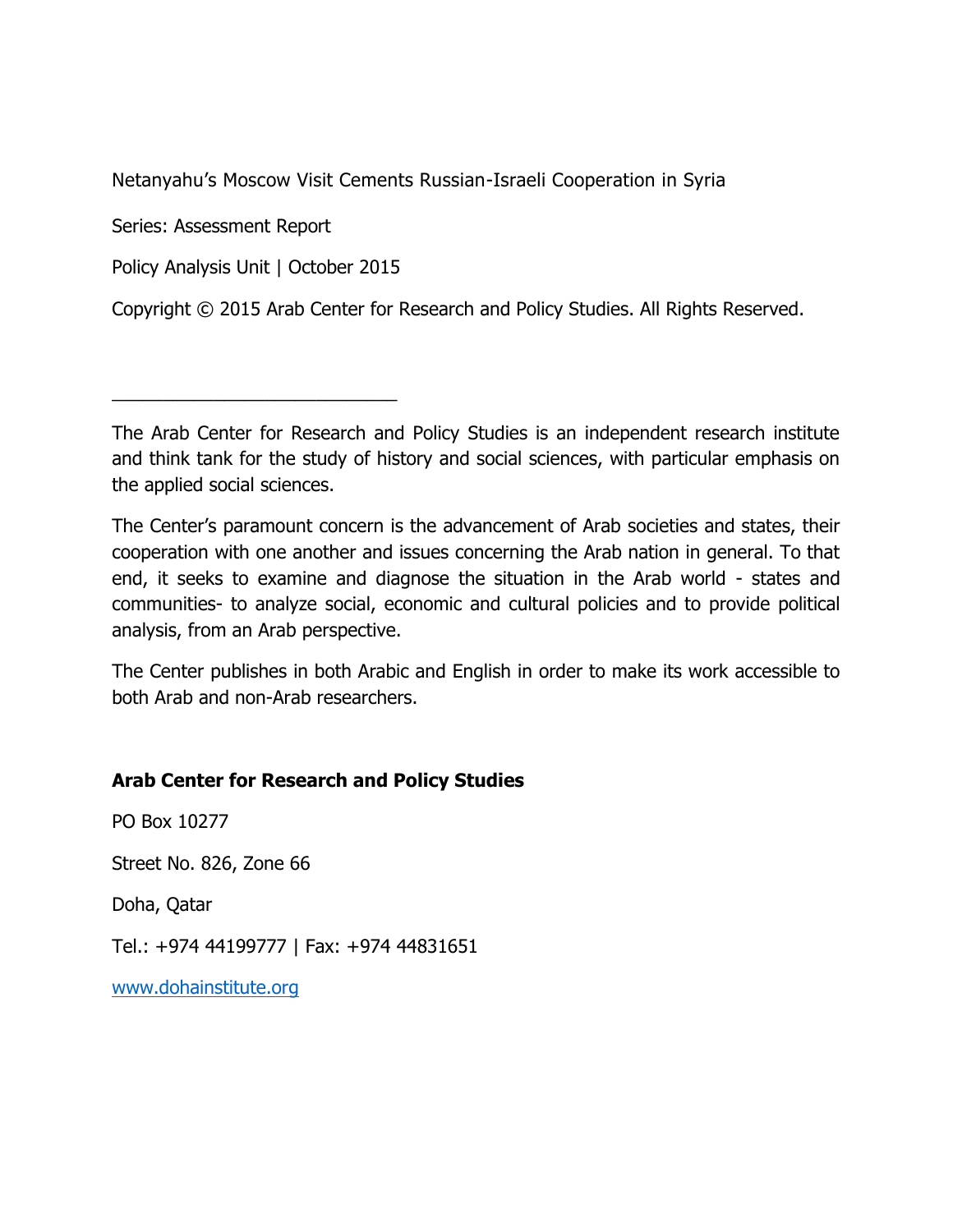Netanyahu's Moscow Visit Cements Russian-Israeli Cooperation in Syria

Series: Assessment Report

Policy Analysis Unit | October 2015

\_\_\_\_\_\_\_\_\_\_\_\_\_\_\_\_\_\_\_\_\_\_\_\_\_\_\_\_

Copyright © 2015 Arab Center for Research and Policy Studies. All Rights Reserved.

The Center's paramount concern is the advancement of Arab societies and states, their cooperation with one another and issues concerning the Arab nation in general. To that end, it seeks to examine and diagnose the situation in the Arab world - states and communities- to analyze social, economic and cultural policies and to provide political analysis, from an Arab perspective.

The Center publishes in both Arabic and English in order to make its work accessible to both Arab and non-Arab researchers.

#### **Arab Center for Research and Policy Studies**

PO Box 10277 Street No. 826, Zone 66

Doha, Qatar

Tel.: +974 44199777 | Fax: +974 44831651

[www.dohainstitute.org](file:///C:/Users/dena.qaddumi/Desktop/www.dohainstitute.org)

The Arab Center for Research and Policy Studies is an independent research institute and think tank for the study of history and social sciences, with particular emphasis on the applied social sciences.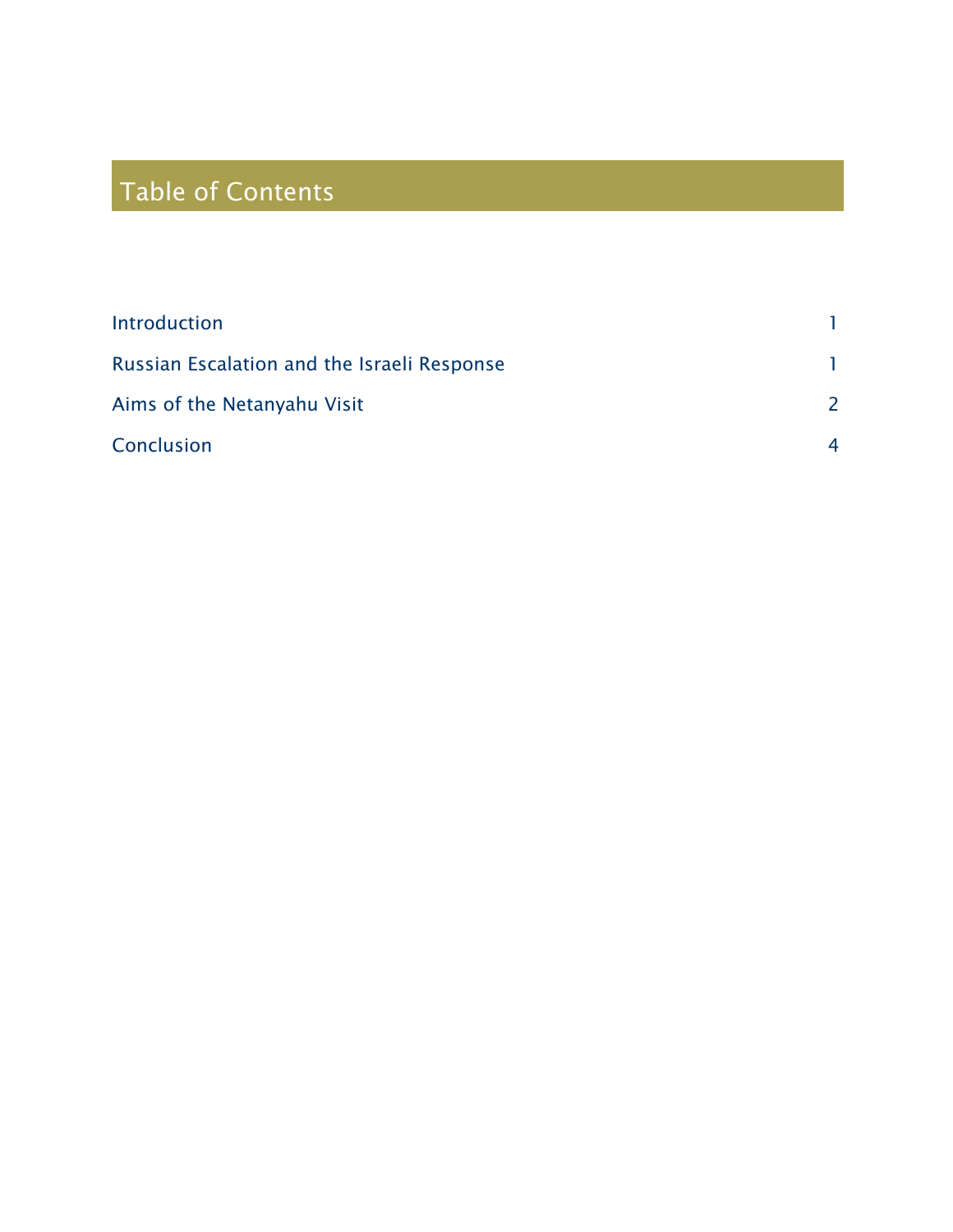## Table of Contents

| Introduction                                |   |
|---------------------------------------------|---|
| Russian Escalation and the Israeli Response |   |
| Aims of the Netanyahu Visit                 |   |
| Conclusion                                  | 4 |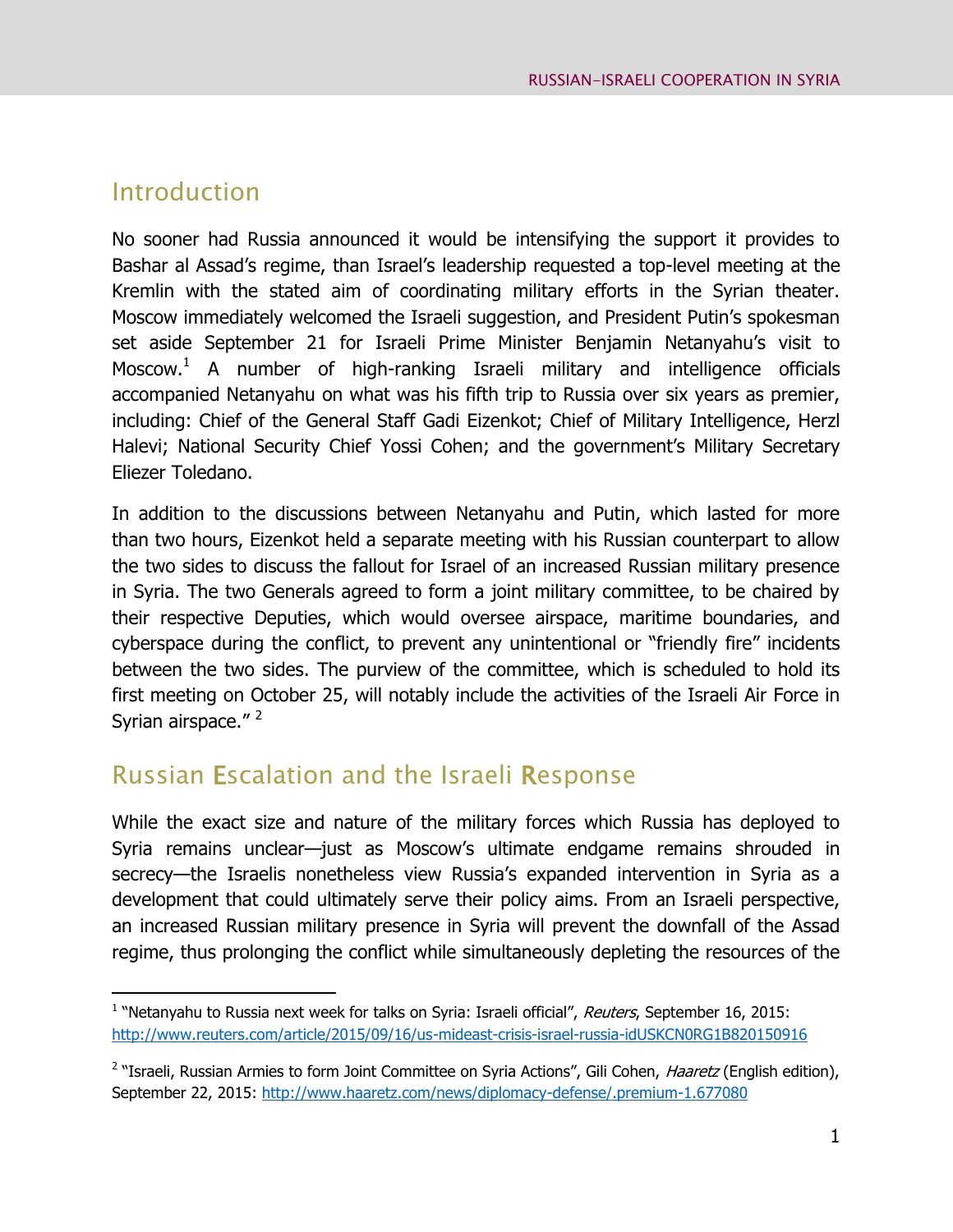#### <span id="page-4-0"></span>Introduction

 $\overline{a}$ 

No sooner had Russia announced it would be intensifying the support it provides to Bashar al Assad's regime, than Israel's leadership requested a top-level meeting at the Kremlin with the stated aim of coordinating military efforts in the Syrian theater. Moscow immediately welcomed the Israeli suggestion, and President Putin's spokesman set aside September 21 for Israeli Prime Minister Benjamin Netanyahu's visit to Moscow.<sup>1</sup> A number of high-ranking Israeli military and intelligence officials accompanied Netanyahu on what was his fifth trip to Russia over six years as premier, including: Chief of the General Staff Gadi Eizenkot; Chief of Military Intelligence, Herzl Halevi; National Security Chief Yossi Cohen; and the government's Military Secretary Eliezer Toledano.

In addition to the discussions between Netanyahu and Putin, which lasted for more than two hours, Eizenkot held a separate meeting with his Russian counterpart to allow the two sides to discuss the fallout for Israel of an increased Russian military presence in Syria. The two Generals agreed to form a joint military committee, to be chaired by their respective Deputies, which would oversee airspace, maritime boundaries, and cyberspace during the conflict, to prevent any unintentional or "friendly fire" incidents between the two sides. The purview of the committee, which is scheduled to hold its first meeting on October 25, will notably include the activities of the Israeli Air Force in Syrian airspace."<sup>2</sup>

### <span id="page-4-1"></span>Russian Escalation and the Israeli Response

While the exact size and nature of the military forces which Russia has deployed to Syria remains unclear—just as Moscow's ultimate endgame remains shrouded in secrecy—the Israelis nonetheless view Russia's expanded intervention in Syria as a development that could ultimately serve their policy aims. From an Israeli perspective, an increased Russian military presence in Syria will prevent the downfall of the Assad regime, thus prolonging the conflict while simultaneously depleting the resources of the

<sup>&</sup>lt;sup>1</sup> "Netanyahu to Russia next week for talks on Syria: Israeli official", Reuters, September 16, 2015: <http://www.reuters.com/article/2015/09/16/us-mideast-crisis-israel-russia-idUSKCN0RG1B820150916>

<sup>&</sup>lt;sup>2</sup> "Israeli, Russian Armies to form Joint Committee on Syria Actions", Gili Cohen, *Haaretz* (English edition), September 22, 2015:<http://www.haaretz.com/news/diplomacy-defense/.premium-1.677080>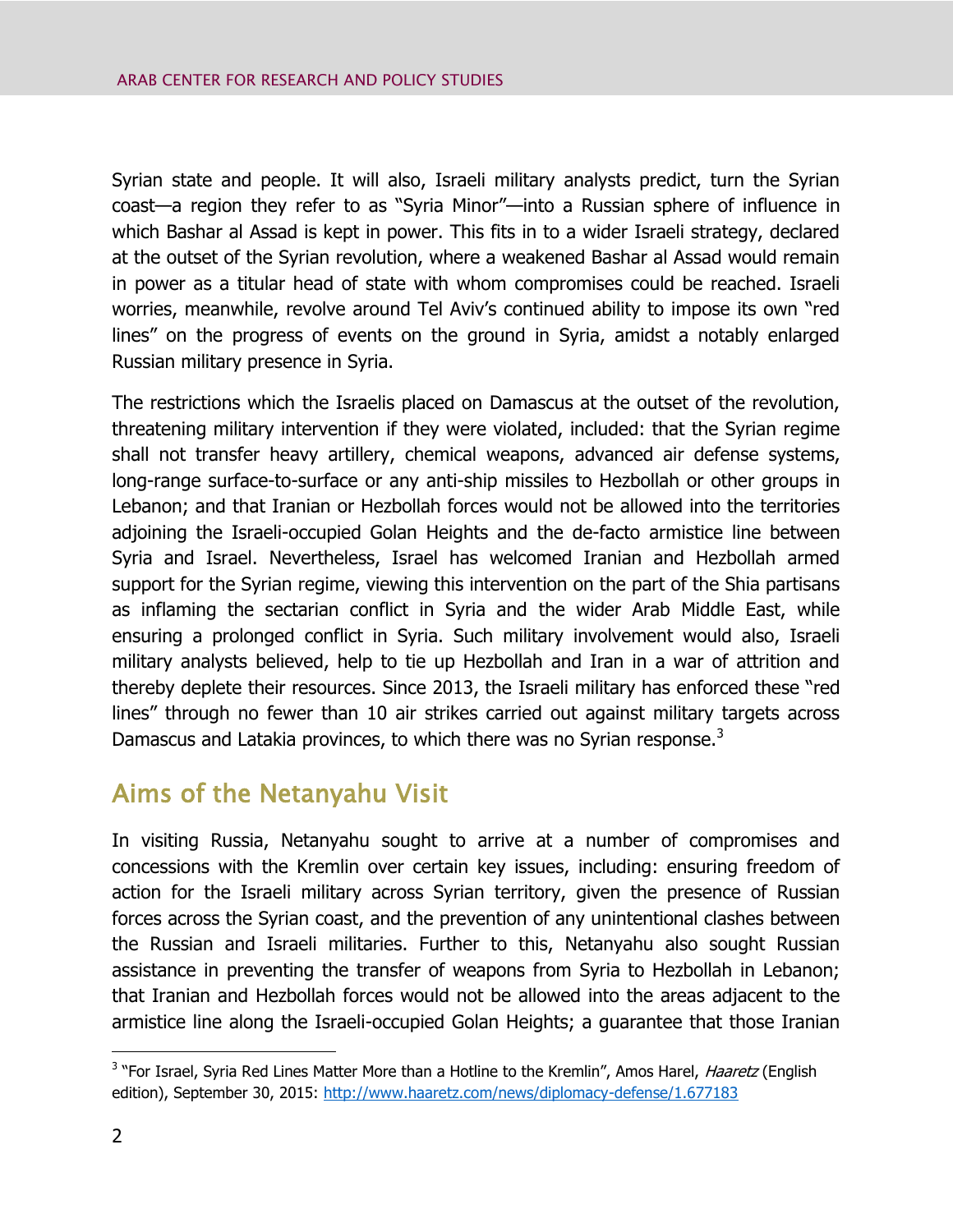Syrian state and people. It will also, Israeli military analysts predict, turn the Syrian coast—a region they refer to as "Syria Minor"—into a Russian sphere of influence in which Bashar al Assad is kept in power. This fits in to a wider Israeli strategy, declared at the outset of the Syrian revolution, where a weakened Bashar al Assad would remain in power as a titular head of state with whom compromises could be reached. Israeli worries, meanwhile, revolve around Tel Aviv's continued ability to impose its own "red lines" on the progress of events on the ground in Syria, amidst a notably enlarged Russian military presence in Syria.

The restrictions which the Israelis placed on Damascus at the outset of the revolution, threatening military intervention if they were violated, included: that the Syrian regime shall not transfer heavy artillery, chemical weapons, advanced air defense systems, long-range surface-to-surface or any anti-ship missiles to Hezbollah or other groups in Lebanon; and that Iranian or Hezbollah forces would not be allowed into the territories adjoining the Israeli-occupied Golan Heights and the de-facto armistice line between Syria and Israel. Nevertheless, Israel has welcomed Iranian and Hezbollah armed support for the Syrian regime, viewing this intervention on the part of the Shia partisans as inflaming the sectarian conflict in Syria and the wider Arab Middle East, while ensuring a prolonged conflict in Syria. Such military involvement would also, Israeli military analysts believed, help to tie up Hezbollah and Iran in a war of attrition and thereby deplete their resources. Since 2013, the Israeli military has enforced these "red lines" through no fewer than 10 air strikes carried out against military targets across Damascus and Latakia provinces, to which there was no Syrian response.<sup>3</sup>

### <span id="page-5-0"></span>Aims of the Netanyahu Visit

In visiting Russia, Netanyahu sought to arrive at a number of compromises and concessions with the Kremlin over certain key issues, including: ensuring freedom of action for the Israeli military across Syrian territory, given the presence of Russian forces across the Syrian coast, and the prevention of any unintentional clashes between the Russian and Israeli militaries. Further to this, Netanyahu also sought Russian assistance in preventing the transfer of weapons from Syria to Hezbollah in Lebanon; that Iranian and Hezbollah forces would not be allowed into the areas adjacent to the armistice line along the Israeli-occupied Golan Heights; a guarantee that those Iranian

 $\overline{a}$ 

<sup>&</sup>lt;sup>3</sup> "For Israel, Syria Red Lines Matter More than a Hotline to the Kremlin", Amos Harel, *Haaretz* (English edition), September 30, 2015:<http://www.haaretz.com/news/diplomacy-defense/1.677183>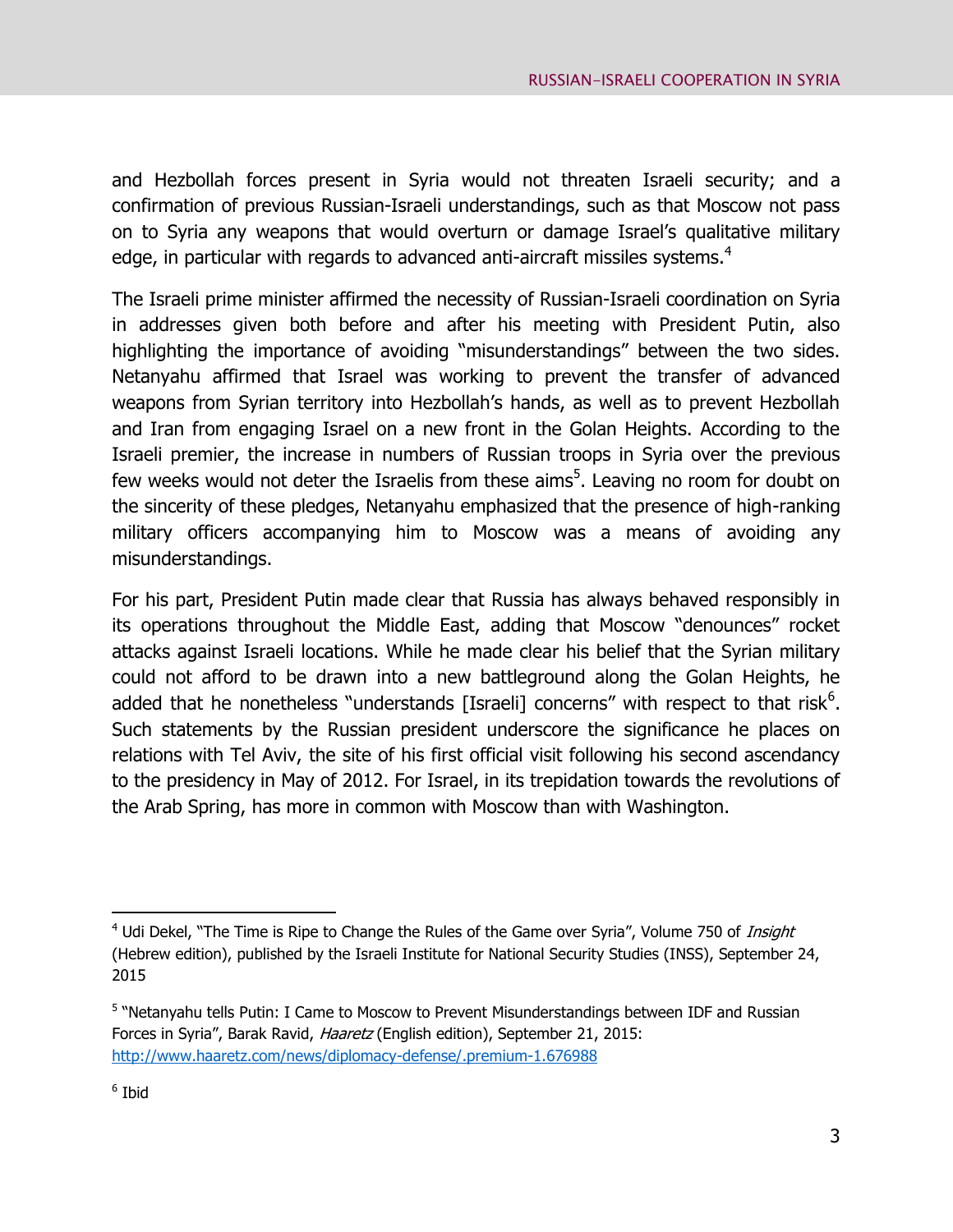and Hezbollah forces present in Syria would not threaten Israeli security; and a confirmation of previous Russian-Israeli understandings, such as that Moscow not pass on to Syria any weapons that would overturn or damage Israel's qualitative military edge, in particular with regards to advanced anti-aircraft missiles systems.<sup>4</sup>

The Israeli prime minister affirmed the necessity of Russian-Israeli coordination on Syria in addresses given both before and after his meeting with President Putin, also highlighting the importance of avoiding "misunderstandings" between the two sides. Netanyahu affirmed that Israel was working to prevent the transfer of advanced weapons from Syrian territory into Hezbollah's hands, as well as to prevent Hezbollah and Iran from engaging Israel on a new front in the Golan Heights. According to the Israeli premier, the increase in numbers of Russian troops in Syria over the previous few weeks would not deter the Israelis from these aims<sup>5</sup>. Leaving no room for doubt on the sincerity of these pledges, Netanyahu emphasized that the presence of high-ranking military officers accompanying him to Moscow was a means of avoiding any misunderstandings.

For his part, President Putin made clear that Russia has always behaved responsibly in its operations throughout the Middle East, adding that Moscow "denounces" rocket attacks against Israeli locations. While he made clear his belief that the Syrian military could not afford to be drawn into a new battleground along the Golan Heights, he added that he nonetheless "understands [Israeli] concerns" with respect to that risk $<sup>6</sup>$ .</sup> Such statements by the Russian president underscore the significance he places on relations with Tel Aviv, the site of his first official visit following his second ascendancy to the presidency in May of 2012. For Israel, in its trepidation towards the revolutions of the Arab Spring, has more in common with Moscow than with Washington.

 $\overline{a}$ 

<sup>&</sup>lt;sup>4</sup> Udi Dekel, "The Time is Ripe to Change the Rules of the Game over Syria", Volume 750 of *Insight* (Hebrew edition), published by the Israeli Institute for National Security Studies (INSS), September 24, 2015

<sup>&</sup>lt;sup>5</sup> "Netanyahu tells Putin: I Came to Moscow to Prevent Misunderstandings between IDF and Russian Forces in Syria", Barak Ravid, Haaretz (English edition), September 21, 2015: <http://www.haaretz.com/news/diplomacy-defense/.premium-1.676988>